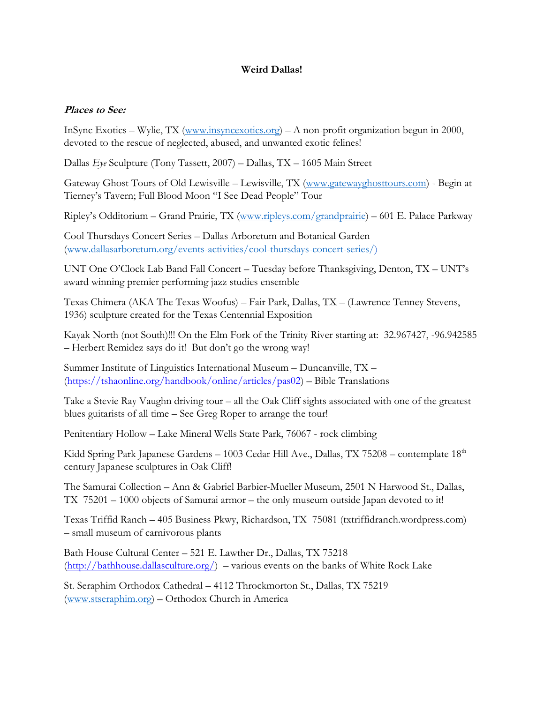## **Weird Dallas!**

## **Places to See:**

InSync Exotics – Wylie, TX [\(www.insyncexotics.org\)](http://www.insyncexotics.org/) – A non-profit organization begun in 2000, devoted to the rescue of neglected, abused, and unwanted exotic felines!

Dallas *Eye* Sculpture (Tony Tassett, 2007) – Dallas, TX – 1605 Main Street

Gateway Ghost Tours of Old Lewisville – Lewisville, TX [\(www.gatewayghosttours.com\)](http://www.gatewayghosttours.com/) - Begin at Tierney's Tavern; Full Blood Moon "I See Dead People" Tour

Ripley's Odditorium – Grand Prairie, TX [\(www.ripleys.com/grandprairie\)](http://www.ripleys.com/grandprairie) – 601 E. Palace Parkway

Cool Thursdays Concert Series – Dallas Arboretum and Botanical Garden [\(www.dallasarboretum.org/events-activities/cool-thursdays-concert-series/\)](http://www.dallasarboretum.org/events-activities/cool-thursdays-concert-series/)

UNT One O'Clock Lab Band Fall Concert – Tuesday before Thanksgiving, Denton, TX – UNT's award winning premier performing jazz studies ensemble

Texas Chimera (AKA The Texas Woofus) – Fair Park, Dallas, TX – (Lawrence Tenney Stevens, 1936) sculpture created for the Texas Centennial Exposition

Kayak North (not South)!!! On the Elm Fork of the Trinity River starting at: 32.967427, -96.942585 – Herbert Remidez says do it! But don't go the wrong way!

Summer Institute of Linguistics International Museum – Duncanville, TX – [\(https://tshaonline.org/handbook/online/articles/pas02\)](https://tshaonline.org/handbook/online/articles/pas02) – Bible Translations

Take a Stevie Ray Vaughn driving tour – all the Oak Cliff sights associated with one of the greatest blues guitarists of all time – See Greg Roper to arrange the tour!

Penitentiary Hollow – Lake Mineral Wells State Park, 76067 - rock climbing

Kidd Spring Park Japanese Gardens - 1003 Cedar Hill Ave., Dallas, TX 75208 - contemplate 18<sup>th</sup> century Japanese sculptures in Oak Cliff!

The Samurai Collection – Ann & Gabriel Barbier-Mueller Museum, 2501 N Harwood St., Dallas, TX 75201 – 1000 objects of Samurai armor – the only museum outside Japan devoted to it!

Texas Triffid Ranch – 405 Business Pkwy, Richardson, TX 75081 (txtriffidranch.wordpress.com) – small museum of carnivorous plants

Bath House Cultural Center – 521 E. Lawther Dr., Dallas, TX 75218  $(\frac{http://bathhouse.dallasculture.org/}{http://bathhouse.dallasculture.org/})$  – various events on the banks of White Rock Lake

St. Seraphim Orthodox Cathedral – 4112 Throckmorton St., Dallas, TX 75219 [\(www.stseraphim.org\)](http://www.stseraphim.org/) – Orthodox Church in America